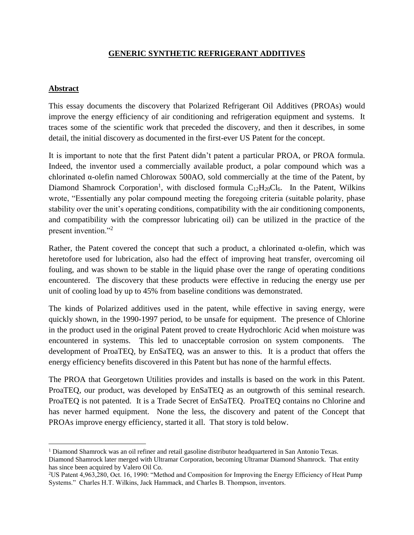# **GENERIC SYNTHETIC REFRIGERANT ADDITIVES**

### **Abstract**

l

This essay documents the discovery that Polarized Refrigerant Oil Additives (PROAs) would improve the energy efficiency of air conditioning and refrigeration equipment and systems. It traces some of the scientific work that preceded the discovery, and then it describes, in some detail, the initial discovery as documented in the first-ever US Patent for the concept.

It is important to note that the first Patent didn't patent a particular PROA, or PROA formula. Indeed, the inventor used a commercially available product, a polar compound which was a chlorinated α-olefin named Chlorowax 500AO, sold commercially at the time of the Patent, by Diamond Shamrock Corporation<sup>1</sup>, with disclosed formula  $C_{12}H_{20}Cl_6$ . In the Patent, Wilkins wrote, "Essentially any polar compound meeting the foregoing criteria (suitable polarity, phase stability over the unit's operating conditions, compatibility with the air conditioning components, and compatibility with the compressor lubricating oil) can be utilized in the practice of the present invention."<sup>2</sup>

Rather, the Patent covered the concept that such a product, a chlorinated  $\alpha$ -olefin, which was heretofore used for lubrication, also had the effect of improving heat transfer, overcoming oil fouling, and was shown to be stable in the liquid phase over the range of operating conditions encountered. The discovery that these products were effective in reducing the energy use per unit of cooling load by up to 45% from baseline conditions was demonstrated.

The kinds of Polarized additives used in the patent, while effective in saving energy, were quickly shown, in the 1990-1997 period, to be unsafe for equipment. The presence of Chlorine in the product used in the original Patent proved to create Hydrochloric Acid when moisture was encountered in systems. This led to unacceptable corrosion on system components. The development of ProaTEQ, by EnSaTEQ, was an answer to this. It is a product that offers the energy efficiency benefits discovered in this Patent but has none of the harmful effects.

The PROA that Georgetown Utilities provides and installs is based on the work in this Patent. ProaTEQ, our product, was developed by EnSaTEQ as an outgrowth of this seminal research. ProaTEQ is not patented. It is a Trade Secret of EnSaTEQ. ProaTEQ contains no Chlorine and has never harmed equipment. None the less, the discovery and patent of the Concept that PROAs improve energy efficiency, started it all. That story is told below.

<sup>1</sup> Diamond Shamrock was an oil refiner and retail gasoline distributor headquartered in San Antonio Texas. Diamond Shamrock later merged with Ultramar Corporation, becoming Ultramar Diamond Shamrock. That entity has since been acquired by Valero Oil Co.

<sup>2</sup>US Patent 4,963,280, Oct. 16, 1990: "Method and Composition for Improving the Energy Efficiency of Heat Pump Systems." Charles H.T. Wilkins, Jack Hammack, and Charles B. Thompson, inventors.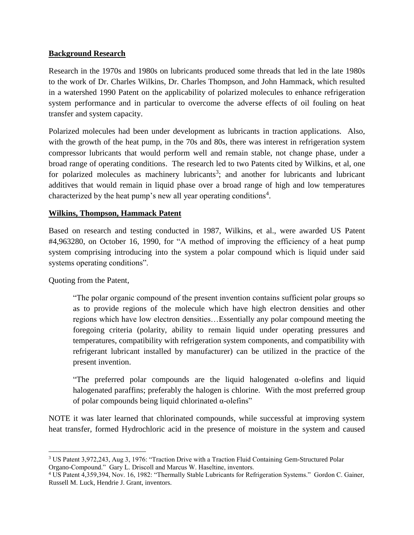# **Background Research**

Research in the 1970s and 1980s on lubricants produced some threads that led in the late 1980s to the work of Dr. Charles Wilkins, Dr. Charles Thompson, and John Hammack, which resulted in a watershed 1990 Patent on the applicability of polarized molecules to enhance refrigeration system performance and in particular to overcome the adverse effects of oil fouling on heat transfer and system capacity.

Polarized molecules had been under development as lubricants in traction applications. Also, with the growth of the heat pump, in the 70s and 80s, there was interest in refrigeration system compressor lubricants that would perform well and remain stable, not change phase, under a broad range of operating conditions. The research led to two Patents cited by Wilkins, et al, one for polarized molecules as machinery lubricants<sup>3</sup>; and another for lubricants and lubricant additives that would remain in liquid phase over a broad range of high and low temperatures characterized by the heat pump's new all year operating conditions<sup>4</sup>.

# **Wilkins, Thompson, Hammack Patent**

Based on research and testing conducted in 1987, Wilkins, et al., were awarded US Patent #4,963280, on October 16, 1990, for "A method of improving the efficiency of a heat pump system comprising introducing into the system a polar compound which is liquid under said systems operating conditions".

Quoting from the Patent,

 $\overline{a}$ 

"The polar organic compound of the present invention contains sufficient polar groups so as to provide regions of the molecule which have high electron densities and other regions which have low electron densities…Essentially any polar compound meeting the foregoing criteria (polarity, ability to remain liquid under operating pressures and temperatures, compatibility with refrigeration system components, and compatibility with refrigerant lubricant installed by manufacturer) can be utilized in the practice of the present invention.

"The preferred polar compounds are the liquid halogenated α-olefins and liquid halogenated paraffins; preferably the halogen is chlorine. With the most preferred group of polar compounds being liquid chlorinated α-olefins"

NOTE it was later learned that chlorinated compounds, while successful at improving system heat transfer, formed Hydrochloric acid in the presence of moisture in the system and caused

<sup>3</sup> US Patent 3,972,243, Aug 3, 1976: "Traction Drive with a Traction Fluid Containing Gem-Structured Polar Organo-Compound." Gary L. Driscoll and Marcus W. Haseltine, inventors.

<sup>4</sup> US Patent 4,359,394, Nov. 16, 1982: "Thermally Stable Lubricants for Refrigeration Systems." Gordon C. Gainer, Russell M. Luck, Hendrie J. Grant, inventors.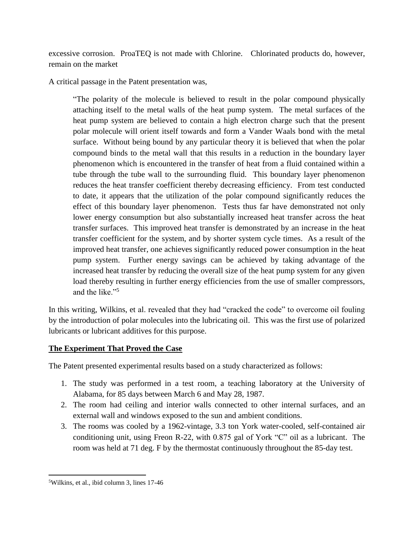excessive corrosion. ProaTEQ is not made with Chlorine. Chlorinated products do, however, remain on the market

A critical passage in the Patent presentation was,

"The polarity of the molecule is believed to result in the polar compound physically attaching itself to the metal walls of the heat pump system. The metal surfaces of the heat pump system are believed to contain a high electron charge such that the present polar molecule will orient itself towards and form a Vander Waals bond with the metal surface. Without being bound by any particular theory it is believed that when the polar compound binds to the metal wall that this results in a reduction in the boundary layer phenomenon which is encountered in the transfer of heat from a fluid contained within a tube through the tube wall to the surrounding fluid. This boundary layer phenomenon reduces the heat transfer coefficient thereby decreasing efficiency. From test conducted to date, it appears that the utilization of the polar compound significantly reduces the effect of this boundary layer phenomenon. Tests thus far have demonstrated not only lower energy consumption but also substantially increased heat transfer across the heat transfer surfaces. This improved heat transfer is demonstrated by an increase in the heat transfer coefficient for the system, and by shorter system cycle times. As a result of the improved heat transfer, one achieves significantly reduced power consumption in the heat pump system. Further energy savings can be achieved by taking advantage of the increased heat transfer by reducing the overall size of the heat pump system for any given load thereby resulting in further energy efficiencies from the use of smaller compressors, and the like."<sup>5</sup>

In this writing, Wilkins, et al. revealed that they had "cracked the code" to overcome oil fouling by the introduction of polar molecules into the lubricating oil. This was the first use of polarized lubricants or lubricant additives for this purpose.

# **The Experiment That Proved the Case**

The Patent presented experimental results based on a study characterized as follows:

- 1. The study was performed in a test room, a teaching laboratory at the University of Alabama, for 85 days between March 6 and May 28, 1987.
- 2. The room had ceiling and interior walls connected to other internal surfaces, and an external wall and windows exposed to the sun and ambient conditions.
- 3. The rooms was cooled by a 1962-vintage, 3.3 ton York water-cooled, self-contained air conditioning unit, using Freon R-22, with 0.875 gal of York "C" oil as a lubricant. The room was held at 71 deg. F by the thermostat continuously throughout the 85-day test.

 $\overline{\phantom{a}}$ 

<sup>5</sup>Wilkins, et al., ibid column 3, lines 17-46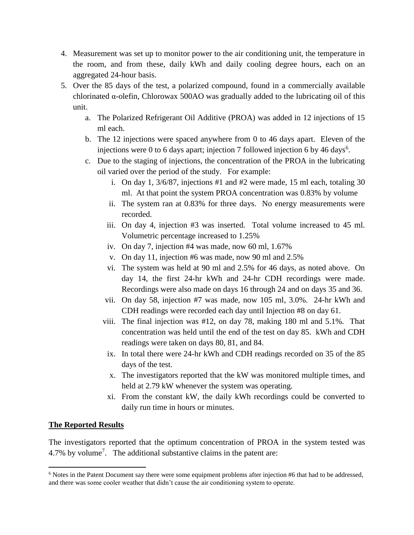- 4. Measurement was set up to monitor power to the air conditioning unit, the temperature in the room, and from these, daily kWh and daily cooling degree hours, each on an aggregated 24-hour basis.
- 5. Over the 85 days of the test, a polarized compound, found in a commercially available chlorinated α-olefin, Chlorowax 500AO was gradually added to the lubricating oil of this unit.
	- a. The Polarized Refrigerant Oil Additive (PROA) was added in 12 injections of 15 ml each.
	- b. The 12 injections were spaced anywhere from 0 to 46 days apart. Eleven of the injections were 0 to 6 days apart; injection 7 followed injection 6 by 46 days<sup>6</sup>.
	- c. Due to the staging of injections, the concentration of the PROA in the lubricating oil varied over the period of the study. For example:
		- i. On day 1, 3/6/87, injections #1 and #2 were made, 15 ml each, totaling 30 ml. At that point the system PROA concentration was 0.83% by volume
		- ii. The system ran at 0.83% for three days. No energy measurements were recorded.
		- iii. On day 4, injection #3 was inserted. Total volume increased to 45 ml. Volumetric percentage increased to 1.25%
		- iv. On day 7, injection #4 was made, now 60 ml, 1.67%
		- v. On day 11, injection #6 was made, now 90 ml and 2.5%
		- vi. The system was held at 90 ml and 2.5% for 46 days, as noted above. On day 14, the first 24-hr kWh and 24-hr CDH recordings were made. Recordings were also made on days 16 through 24 and on days 35 and 36.
		- vii. On day 58, injection #7 was made, now 105 ml, 3.0%. 24-hr kWh and CDH readings were recorded each day until Injection #8 on day 61.
		- viii. The final injection was #12, on day 78, making 180 ml and 5.1%. That concentration was held until the end of the test on day 85. kWh and CDH readings were taken on days 80, 81, and 84.
			- ix. In total there were 24-hr kWh and CDH readings recorded on 35 of the 85 days of the test.
			- x. The investigators reported that the kW was monitored multiple times, and held at 2.79 kW whenever the system was operating.
			- xi. From the constant kW, the daily kWh recordings could be converted to daily run time in hours or minutes.

# **The Reported Results**

 $\overline{a}$ 

The investigators reported that the optimum concentration of PROA in the system tested was 4.7% by volume<sup>7</sup>. The additional substantive claims in the patent are:

<sup>6</sup> Notes in the Patent Document say there were some equipment problems after injection #6 that had to be addressed, and there was some cooler weather that didn't cause the air conditioning system to operate.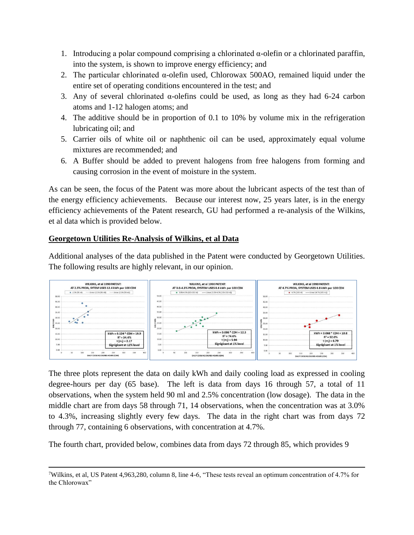- 1. Introducing a polar compound comprising a chlorinated α-olefin or a chlorinated paraffin, into the system, is shown to improve energy efficiency; and
- 2. The particular chlorinated α-olefin used, Chlorowax 500AO, remained liquid under the entire set of operating conditions encountered in the test; and
- 3. Any of several chlorinated α-olefins could be used, as long as they had 6-24 carbon atoms and 1-12 halogen atoms; and
- 4. The additive should be in proportion of 0.1 to 10% by volume mix in the refrigeration lubricating oil; and
- 5. Carrier oils of white oil or naphthenic oil can be used, approximately equal volume mixtures are recommended; and
- 6. A Buffer should be added to prevent halogens from free halogens from forming and causing corrosion in the event of moisture in the system.

As can be seen, the focus of the Patent was more about the lubricant aspects of the test than of the energy efficiency achievements. Because our interest now, 25 years later, is in the energy efficiency achievements of the Patent research, GU had performed a re-analysis of the Wilkins, et al data which is provided below.

# **Georgetown Utilities Re-Analysis of Wilkins, et al Data**

 $\overline{a}$ 

Additional analyses of the data published in the Patent were conducted by Georgetown Utilities. The following results are highly relevant, in our opinion.



The three plots represent the data on daily kWh and daily cooling load as expressed in cooling degree-hours per day (65 base). The left is data from days 16 through 57, a total of 11 observations, when the system held 90 ml and 2.5% concentration (low dosage). The data in the middle chart are from days 58 through 71, 14 observations, when the concentration was at 3.0% to 4.3%, increasing slightly every few days. The data in the right chart was from days 72 through 77, containing 6 observations, with concentration at 4.7%.

The fourth chart, provided below, combines data from days 72 through 85, which provides 9

<sup>7</sup>Wilkins, et al, US Patent 4,963,280, column 8, line 4-6, "These tests reveal an optimum concentration of 4.7% for the Chlorowax"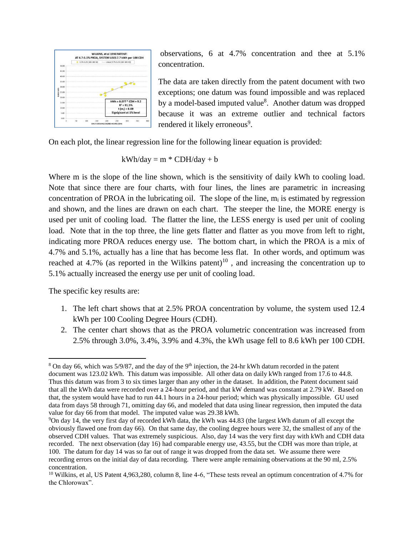

observations, 6 at 4.7% concentration and thee at 5.1% concentration.

The data are taken directly from the patent document with two exceptions; one datum was found impossible and was replaced by a model-based imputed value<sup>8</sup>. Another datum was dropped because it was an extreme outlier and technical factors rendered it likely erroneous<sup>9</sup>.

On each plot, the linear regression line for the following linear equation is provided:

$$
kWh/day = m * CDH/day + b
$$

Where m is the slope of the line shown, which is the sensitivity of daily kWh to cooling load. Note that since there are four charts, with four lines, the lines are parametric in increasing concentration of PROA in the lubricating oil. The slope of the line,  $m_i$  is estimated by regression and shown, and the lines are drawn on each chart. The steeper the line, the MORE energy is used per unit of cooling load. The flatter the line, the LESS energy is used per unit of cooling load. Note that in the top three, the line gets flatter and flatter as you move from left to right, indicating more PROA reduces energy use. The bottom chart, in which the PROA is a mix of 4.7% and 5.1%, actually has a line that has become less flat. In other words, and optimum was reached at 4.7% (as reported in the Wilkins patent)<sup>10</sup>, and increasing the concentration up to 5.1% actually increased the energy use per unit of cooling load.

The specific key results are:

- 1. The left chart shows that at 2.5% PROA concentration by volume, the system used 12.4 kWh per 100 Cooling Degree Hours (CDH).
- 2. The center chart shows that as the PROA volumetric concentration was increased from 2.5% through 3.0%, 3.4%, 3.9% and 4.3%, the kWh usage fell to 8.6 kWh per 100 CDH.

 $\overline{a}$ <sup>8</sup> On day 66, which was  $5/9/87$ , and the day of the 9<sup>th</sup> injection, the 24-hr kWh datum recorded in the patent document was 123.02 kWh. This datum was impossible. All other data on daily kWh ranged from 17.6 to 44.8. Thus this datum was from 3 to six times larger than any other in the dataset. In addition, the Patent document said that all the kWh data were recorded over a 24-hour period, and that kW demand was constant at 2.79 kW. Based on that, the system would have had to run 44.1 hours in a 24-hour period; which was physically impossible. GU used data from days 58 through 71, omitting day 66, and modeled that data using linear regression, then imputed the data value for day 66 from that model. The imputed value was 29.38 kWh.

<sup>9</sup>On day 14, the very first day of recorded kWh data, the kWh was 44.83 (the largest kWh datum of all except the obviously flawed one from day 66). On that same day, the cooling degree hours were 32, the smallest of any of the observed CDH values. That was extremely suspicious. Also, day 14 was the very first day with kWh and CDH data recorded. The next observation (day 16) had comparable energy use, 43.55, but the CDH was more than triple, at 100. The datum for day 14 was so far out of range it was dropped from the data set. We assume there were recording errors on the initial day of data recording. There were ample remaining observations at the 90 ml, 2.5% concentration.

<sup>&</sup>lt;sup>10</sup> Wilkins, et al, US Patent 4,963,280, column 8, line 4-6, "These tests reveal an optimum concentration of 4.7% for the Chlorowax".